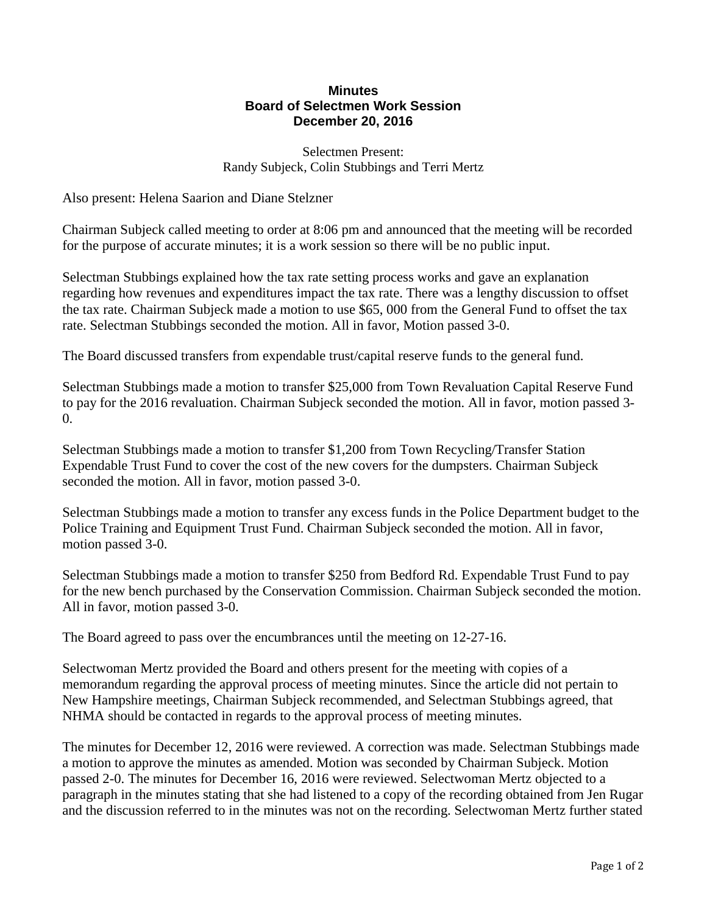## **Minutes Board of Selectmen Work Session December 20, 2016**

Selectmen Present: Randy Subjeck, Colin Stubbings and Terri Mertz

Also present: Helena Saarion and Diane Stelzner

Chairman Subjeck called meeting to order at 8:06 pm and announced that the meeting will be recorded for the purpose of accurate minutes; it is a work session so there will be no public input.

Selectman Stubbings explained how the tax rate setting process works and gave an explanation regarding how revenues and expenditures impact the tax rate. There was a lengthy discussion to offset the tax rate. Chairman Subjeck made a motion to use \$65, 000 from the General Fund to offset the tax rate. Selectman Stubbings seconded the motion. All in favor, Motion passed 3-0.

The Board discussed transfers from expendable trust/capital reserve funds to the general fund.

Selectman Stubbings made a motion to transfer \$25,000 from Town Revaluation Capital Reserve Fund to pay for the 2016 revaluation. Chairman Subjeck seconded the motion. All in favor, motion passed 3- 0.

Selectman Stubbings made a motion to transfer \$1,200 from Town Recycling/Transfer Station Expendable Trust Fund to cover the cost of the new covers for the dumpsters. Chairman Subjeck seconded the motion. All in favor, motion passed 3-0.

Selectman Stubbings made a motion to transfer any excess funds in the Police Department budget to the Police Training and Equipment Trust Fund. Chairman Subjeck seconded the motion. All in favor, motion passed 3-0.

Selectman Stubbings made a motion to transfer \$250 from Bedford Rd. Expendable Trust Fund to pay for the new bench purchased by the Conservation Commission. Chairman Subjeck seconded the motion. All in favor, motion passed 3-0.

The Board agreed to pass over the encumbrances until the meeting on 12-27-16.

Selectwoman Mertz provided the Board and others present for the meeting with copies of a memorandum regarding the approval process of meeting minutes. Since the article did not pertain to New Hampshire meetings, Chairman Subjeck recommended, and Selectman Stubbings agreed, that NHMA should be contacted in regards to the approval process of meeting minutes.

The minutes for December 12, 2016 were reviewed. A correction was made. Selectman Stubbings made a motion to approve the minutes as amended. Motion was seconded by Chairman Subjeck. Motion passed 2-0. The minutes for December 16, 2016 were reviewed. Selectwoman Mertz objected to a paragraph in the minutes stating that she had listened to a copy of the recording obtained from Jen Rugar and the discussion referred to in the minutes was not on the recording. Selectwoman Mertz further stated